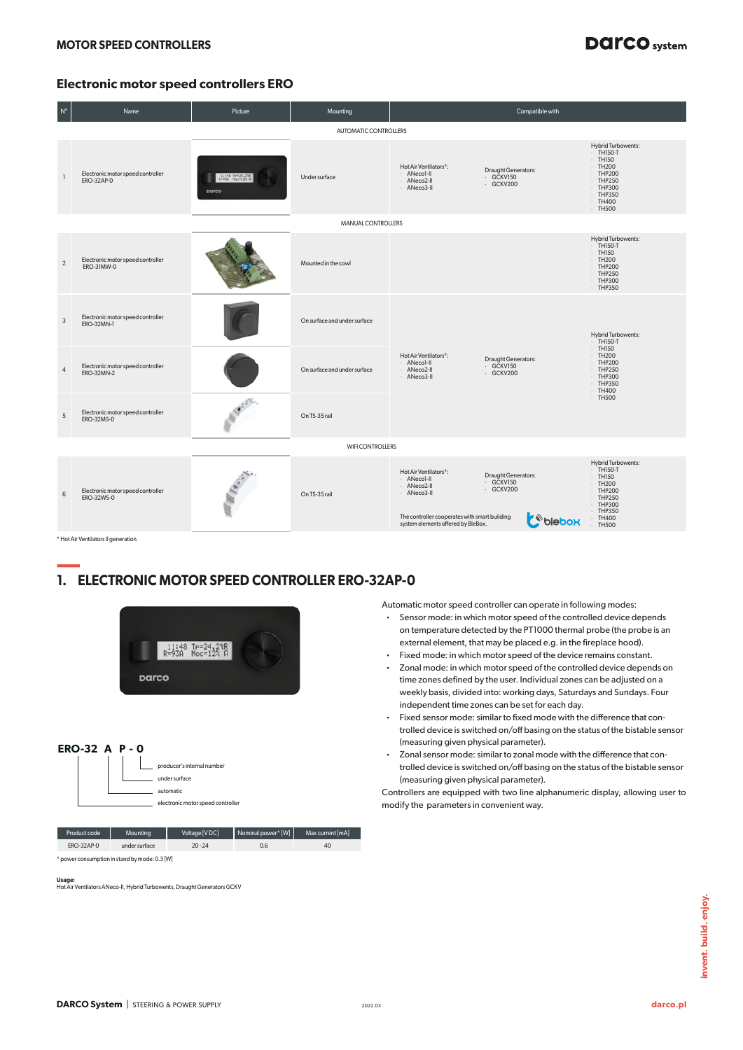# **DAICO** system

### **Electronic motor speed controllers ERO**

| $\mathsf{N}^\circ$ | Name                                            | Picture                  | Mounting                     |                                                                                                                                                           | Compatible with                               |                                                                                                                                               |
|--------------------|-------------------------------------------------|--------------------------|------------------------------|-----------------------------------------------------------------------------------------------------------------------------------------------------------|-----------------------------------------------|-----------------------------------------------------------------------------------------------------------------------------------------------|
|                    |                                                 |                          | AUTOMATIC CONTROLLERS        |                                                                                                                                                           |                                               |                                                                                                                                               |
|                    | Electronic motor speed controller<br>ERO-32AP-0 | 11:48 Te=24,2%R<br>parco | Under surface                | Hot Air Ventilators*:<br>· ANecol-II<br>- ANeco2-II<br>· ANeco3-II                                                                                        | Draught Generators:<br>· GČKV150<br>· GCKV200 | <b>Hybrid Turbowents:</b><br>$-TH150-T$<br>$-$ TH150<br>$-TH200$<br>$-$ THP200<br>$-$ THP250<br>· THP300<br>$-$ THP350<br>$-TH400$<br>· TH500 |
|                    |                                                 |                          | MANUAL CONTROLLERS           |                                                                                                                                                           |                                               |                                                                                                                                               |
| $\overline{2}$     | Electronic motor speed controller<br>ERO-31MW-0 |                          | Mounted in the cowl          |                                                                                                                                                           |                                               | Hybrid Turbowents:<br>$-TH150-T$<br>· TH150<br>· TH200<br>· THP200<br>$-$ THP250<br>· THP300<br>$-$ THP350                                    |
| 3                  | Electronic motor speed controller<br>ERO-32MN-1 |                          | On surface and under surface |                                                                                                                                                           |                                               | <b>Hybrid Turbowents:</b><br>$-TH150-T$                                                                                                       |
| $\overline{4}$     | Electronic motor speed controller<br>ERO-32MN-2 |                          | On surface and under surface | Hot Air Ventilators*:<br>· ANecol-II<br>· ANeco2-II<br>· ANeco3-II                                                                                        | Draught Generators:<br>· GČKV150<br>· GCKV200 | $-$ TH150<br>$-TH200$<br>· THP200<br>$-$ THP250<br>$-$ THP300<br>$-$ THP350<br>$-TH400$                                                       |
| 5                  | Electronic motor speed controller<br>ERO-32MS-0 |                          | On TS-35 rail                |                                                                                                                                                           |                                               | $·$ TH500                                                                                                                                     |
|                    |                                                 |                          | <b>WIFI CONTROLLERS</b>      |                                                                                                                                                           |                                               |                                                                                                                                               |
| 6                  | Electronic motor speed controller<br>ERO-32WS-0 | <b>SALES</b>             | On TS-35 rail                | Hot Air Ventilators*:<br>· ANecol-II<br>· ANeco2-II<br>· ANeco3-II<br>The controller cooperates with smart building<br>system elements offered by BleBox. | Draught Generators:<br>· GCKV150<br>· GCKV200 | Hybrid Turbowents:<br>$-TH150-T$<br>$-$ TH150<br>$·$ TH200<br>· THP200<br>· THP250<br>· THP300<br>$-$ THP350<br>$·$ TH400<br>· TH500          |

\* Hot Air Ventilators II generation

# **— 1. ELECTRONIC MOTOR SPEED CONTROLLER ERO-32AP-0**

| ERO-32 A $P - O$  | <b>Darco</b>                                  | 11:48 TP=24.2tR<br>R=93A Moc=12% A<br>producer's internal number<br>under surface<br>automatic<br>electronic motor speed controller |                    |                  |
|-------------------|-----------------------------------------------|-------------------------------------------------------------------------------------------------------------------------------------|--------------------|------------------|
| Product code      | Mounting                                      | Voltage [VDC]                                                                                                                       | Nominal power* [W] | Max current [mA] |
| <b>ERO-32AP-0</b> | under surface                                 | $20 - 24$                                                                                                                           | 0.6                | 40               |
|                   | * nower consumption in stand by mode: 0.3 [W] |                                                                                                                                     |                    |                  |
|                   |                                               |                                                                                                                                     |                    |                  |

**Usage:** Hot Air Ventilators ANeco-II, Hybrid Turbowents, Draught Generators GCKV

Automatic motor speed controller can operate in following modes:

- ⋅ Sensor mode: in which motor speed of the controlled device depends on temperature detected by the PT1000 thermal probe (the probe is an external element, that may be placed e.g. in the fireplace hood).
- ⋅ Fixed mode: in which motor speed of the device remains constant.
- ⋅ Zonal mode: in which motor speed of the controlled device depends on time zones defined by the user. Individual zones can be adjusted on a weekly basis, divided into: working days, Saturdays and Sundays. Four independent time zones can be set for each day.
- ⋅ Fixed sensor mode: similar to fixed mode with the difference that controlled device is switched on/off basing on the status of the bistable sensor (measuring given physical parameter).
- ⋅ Zonal sensor mode: similar to zonal mode with the difference that controlled device is switched on/off basing on the status of the bistable sensor (measuring given physical parameter).

Controllers are equipped with two line alphanumeric display, allowing user to modify the parameters in convenient way.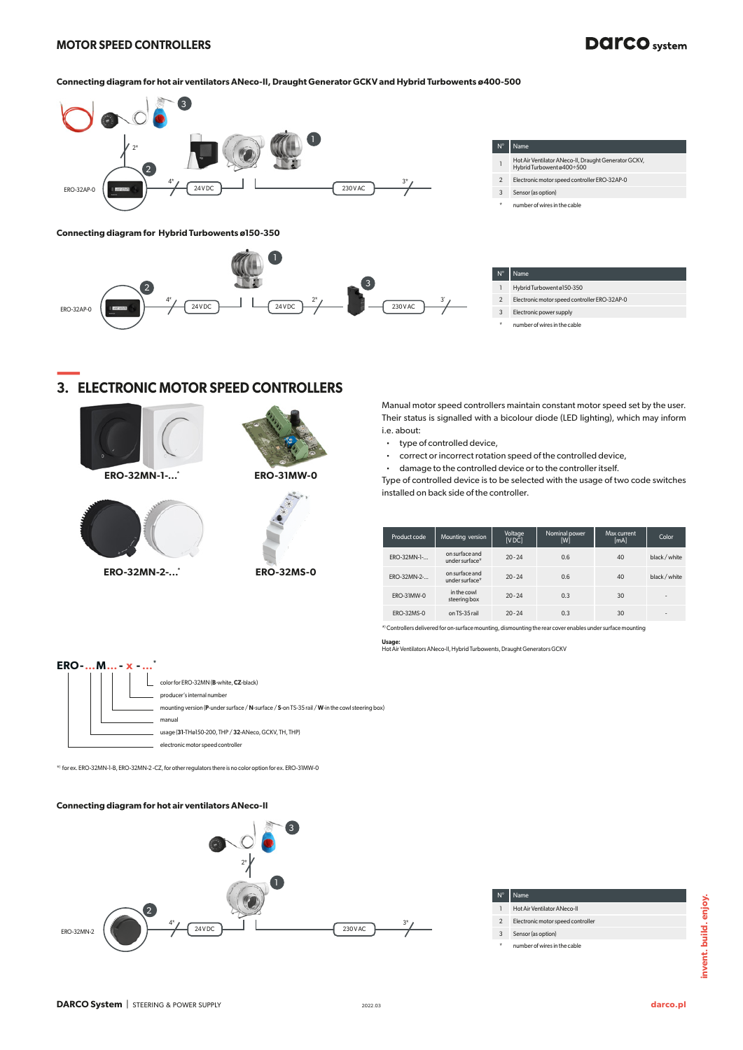#### **MOTOR SPEED CONTROLLERS**

# **DAICO** system

#### **Connecting diagram for hot air ventilators ANeco-II, Draught Generator GCKV and Hybrid Turbowents ø400-500**





| $N^{\circ}$    | Name                                                                              |
|----------------|-----------------------------------------------------------------------------------|
|                | Hot Air Ventilator ANeco-II, Draught Generator GCKV,<br>Hybrid Turbowent ø400÷500 |
| $\mathfrak{p}$ | Electronic motor speed controller ERO-32AP-0                                      |
| 3              | Sensor (as option)                                                                |

| $N^{\circ}$ | ⊢l Name'                   |
|-------------|----------------------------|
|             | Hybrid Turbowent ø 150-350 |

- 2 Electronic motor speed controller ERO-32AP-0
- 3 Electronic power supply
- number of wires in the cable

### **— 3. ELECTRONIC MOTOR SPEED CONTROLLERS**



**ERO-32MN-1-...\* ERO-31MW-0**







Manual motor speed controllers maintain constant motor speed set by the user. Their status is signalled with a bicolour diode (LED lighting), which may inform i.e. about:

- type of controlled device,
- ⋅ correct or incorrect rotation speed of the controlled device,
- ⋅ damage to the controlled device or to the controller itself.

Type of controlled device is to be selected with the usage of two code switches installed on back side of the controller.

| Product code       | Mounting version                 | Voltage<br>[VDC] | Nominal power<br>[W] | Max current<br>[mA] | Color          |
|--------------------|----------------------------------|------------------|----------------------|---------------------|----------------|
| <b>ERO-32MN-1-</b> | on surface and<br>under surface* | $20 - 24$        | 0.6                  | 40                  | black / white  |
| <b>ERO-32MN-2-</b> | on surface and<br>under surface* | $20 - 24$        | 0.6                  | 40                  | black / white  |
| <b>ERO-31MW-0</b>  | in the cowl<br>steering box      | $20 - 24$        | 0.3                  | 30                  | $\blacksquare$ |
| <b>ERO-32MS-0</b>  | on TS-35 rail                    | $20 - 24$        | 0.3                  | 30                  | $\blacksquare$ |

\*) Controllers delivered for on-surface mounting, dismounting the rear cover enables under surface mounting

**Usage:** Hot Air Ventilators ANeco-II, Hybrid Turbowents, Draught Generators GCKV

| $ERO$ $M_{\cdots}$ $x$ |                                                                                               |
|------------------------|-----------------------------------------------------------------------------------------------|
|                        | color for ERO-32MN (B-white, CZ-black)<br>producer's internal number                          |
|                        | mounting version (P-under surface / N-surface / S-on TS-35 rail / W-in the cowl steering box) |
|                        | manual                                                                                        |
|                        | usage (31-THø150-200, THP / 32-ANeco, GCKV, TH, THP)                                          |
|                        | electronic motor speed controller                                                             |

\*) for ex. ERO-32MN-1-B, ERO-32MN-2 -CZ, for other regulators there is no color option for ex. ERO-31MW-0

#### **Connecting diagram for hot air ventilators ANeco-II**



#### N° Name

- 1 Hot Air Ventilator ANeco-II
- 2 Electronic motor speed controller
- 
- 3 Sensor (as option)
- number of wires in the cable

number of wires in the cable